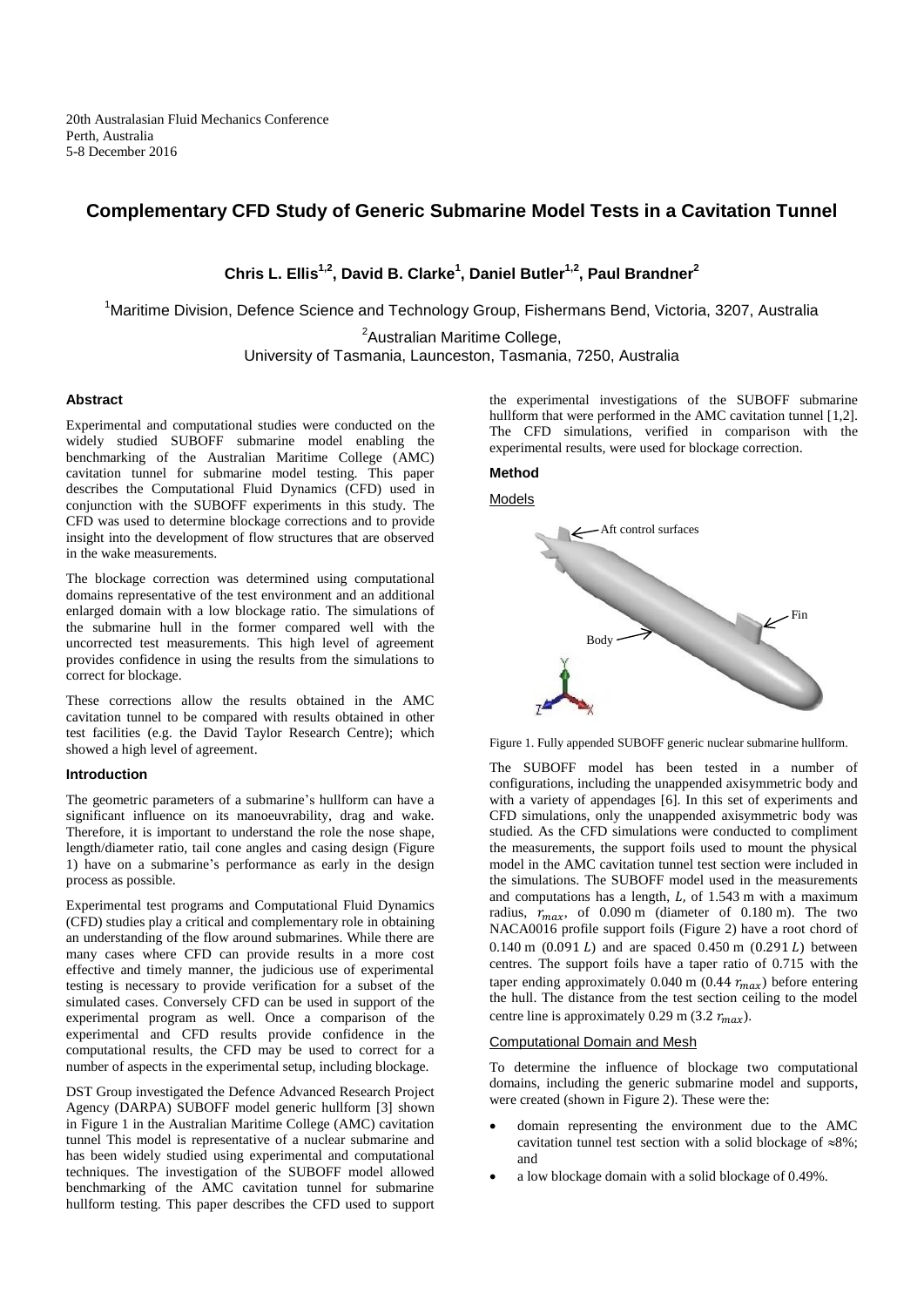# **Complementary CFD Study of Generic Submarine Model Tests in a Cavitation Tunnel**

**Chris L. Ellis1,2, David B. Clarke<sup>1</sup> , Daniel Butler1,2, Paul Brandner<sup>2</sup>**

<sup>1</sup>Maritime Division, Defence Science and Technology Group, Fishermans Bend, Victoria, 3207, Australia

<sup>2</sup>Australian Maritime College,

University of Tasmania, Launceston, Tasmania, 7250, Australia

## **Abstract**

Experimental and computational studies were conducted on the widely studied SUBOFF submarine model enabling the benchmarking of the Australian Maritime College (AMC) cavitation tunnel for submarine model testing. This paper describes the Computational Fluid Dynamics (CFD) used in conjunction with the SUBOFF experiments in this study. The CFD was used to determine blockage corrections and to provide insight into the development of flow structures that are observed in the wake measurements.

The blockage correction was determined using computational domains representative of the test environment and an additional enlarged domain with a low blockage ratio. The simulations of the submarine hull in the former compared well with the uncorrected test measurements. This high level of agreement provides confidence in using the results from the simulations to correct for blockage.

These corrections allow the results obtained in the AMC cavitation tunnel to be compared with results obtained in other test facilities (e.g. the David Taylor Research Centre); which showed a high level of agreement.

## **Introduction**

The geometric parameters of a submarine's hullform can have a significant influence on its manoeuvrability, drag and wake. Therefore, it is important to understand the role the nose shape, length/diameter ratio, tail cone angles and casing design [\(Figure](#page-0-0)  [1\)](#page-0-0) have on a submarine's performance as early in the design process as possible.

Experimental test programs and Computational Fluid Dynamics (CFD) studies play a critical and complementary role in obtaining an understanding of the flow around submarines. While there are many cases where CFD can provide results in a more cost effective and timely manner, the judicious use of experimental testing is necessary to provide verification for a subset of the simulated cases. Conversely CFD can be used in support of the experimental program as well. Once a comparison of the experimental and CFD results provide confidence in the computational results, the CFD may be used to correct for a number of aspects in the experimental setup, including blockage.

DST Group investigated the Defence Advanced Research Project Agency (DARPA) SUBOFF model generic hullform [\[3\]](#page-3-0) shown in [Figure 1](#page-0-0) in the Australian Maritime College (AMC) cavitation tunnel This model is representative of a nuclear submarine and has been widely studied using experimental and computational techniques. The investigation of the SUBOFF model allowed benchmarking of the AMC cavitation tunnel for submarine hullform testing. This paper describes the CFD used to support

the experimental investigations of the SUBOFF submarine hullform that were performed in the AMC cavitation tunnel [1,2]. The CFD simulations, verified in comparison with the experimental results, were used for blockage correction.

## **Method**





<span id="page-0-0"></span>

The SUBOFF model has been tested in a number of configurations, including the unappended axisymmetric body and with a variety of appendages [\[6\].](#page-3-1) In this set of experiments and CFD simulations, only the unappended axisymmetric body was studied. As the CFD simulations were conducted to compliment the measurements, the support foils used to mount the physical model in the AMC cavitation tunnel test section were included in the simulations. The SUBOFF model used in the measurements and computations has a length,  $L$ , of 1.543 m with a maximum radius,  $r_{max}$ , of 0.090 m (diameter of 0.180 m). The two NACA0016 profile support foils [\(Figure 2\)](#page-1-0) have a root chord of 0.140 m  $(0.091 L)$  and are spaced 0.450 m  $(0.291 L)$  between centres. The support foils have a taper ratio of 0.715 with the taper ending approximately 0.040 m (0.44  $r_{max}$ ) before entering the hull. The distance from the test section ceiling to the model centre line is approximately 0.29 m (3.2  $r_{max}$ ).

## Computational Domain and Mesh

To determine the influence of blockage two computational domains, including the generic submarine model and supports, were created (shown in [Figure 2\)](#page-1-0). These were the:

- domain representing the environment due to the AMC cavitation tunnel test section with a solid blockage of  $\approx 8\%$ ; and
- a low blockage domain with a solid blockage of 0.49%.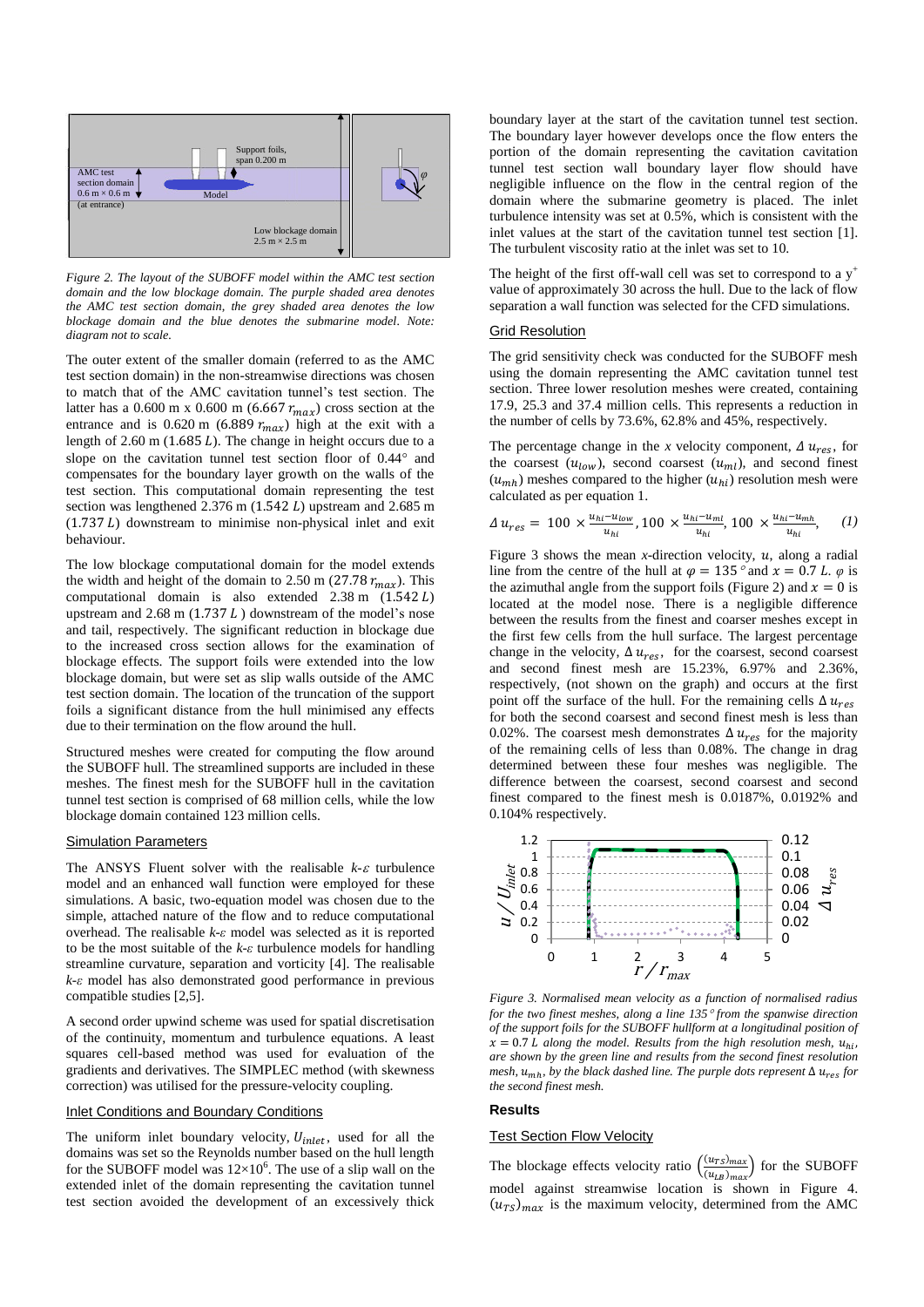

<span id="page-1-0"></span>*Figure 2. The layout of the SUBOFF model within the AMC test section domain and the low blockage domain. The purple shaded area denotes the AMC test section domain, the grey shaded area denotes the low blockage domain and the blue denotes the submarine model. Note: diagram not to scale.*

The outer extent of the smaller domain (referred to as the AMC test section domain) in the non-streamwise directions was chosen to match that of the AMC cavitation tunnel's test section. The latter has a 0.600 m x 0.600 m (6.667  $r_{max}$ ) cross section at the entrance and is 0.620 m (6.889  $r_{max}$ ) high at the exit with a length of  $2.60$  m ( $1.685$  L). The change in height occurs due to a slope on the cavitation tunnel test section floor of  $0.44^\circ$  and compensates for the boundary layer growth on the walls of the test section. This computational domain representing the test section was lengthened  $2.376$  m (1.542 L) upstream and  $2.685$  m  $(1.737 L)$  downstream to minimise non-physical inlet and exit behaviour.

The low blockage computational domain for the model extends the width and height of the domain to 2.50 m (27.78  $r_{max}$ ). This computational domain is also extended  $2.38 \text{ m}$   $(1.542 \text{ L})$ upstream and  $2.68$  m (1.737  $L$ ) downstream of the model's nose and tail, respectively. The significant reduction in blockage due to the increased cross section allows for the examination of blockage effects. The support foils were extended into the low blockage domain, but were set as slip walls outside of the AMC test section domain. The location of the truncation of the support foils a significant distance from the hull minimised any effects due to their termination on the flow around the hull.

Structured meshes were created for computing the flow around the SUBOFF hull. The streamlined supports are included in these meshes. The finest mesh for the SUBOFF hull in the cavitation tunnel test section is comprised of 68 million cells, while the low blockage domain contained 123 million cells.

### Simulation Parameters

The ANSYS Fluent solver with the realisable  $k$ - $\varepsilon$  turbulence model and an enhanced wall function were employed for these simulations. A basic, two-equation model was chosen due to the simple, attached nature of the flow and to reduce computational overhead. The realisable *k-ε* model was selected as it is reported to be the most suitable of the *k-ε* turbulence models for handling streamline curvature, separation and vorticity [\[4\].](#page-3-2) The realisable *k-ε* model has also demonstrated good performance in previous compatible studies [2,5].

A second order upwind scheme was used for spatial discretisation of the continuity, momentum and turbulence equations. A least squares cell-based method was used for evaluation of the gradients and derivatives. The SIMPLEC method (with skewness correction) was utilised for the pressure-velocity coupling.

### Inlet Conditions and Boundary Conditions

The uniform inlet boundary velocity,  $U_{inlet}$ , used for all the domains was set so the Reynolds number based on the hull length for the SUBOFF model was  $12\times10^6$ . The use of a slip wall on the extended inlet of the domain representing the cavitation tunnel test section avoided the development of an excessively thick

boundary layer at the start of the cavitation tunnel test section. The boundary layer however develops once the flow enters the portion of the domain representing the cavitation cavitation tunnel test section wall boundary layer flow should have negligible influence on the flow in the central region of the domain where the submarine geometry is placed. The inlet turbulence intensity was set at 0.5%, which is consistent with the inlet values at the start of the cavitation tunnel test section [\[1\].](#page-3-3)  The turbulent viscosity ratio at the inlet was set to 10.

The height of the first off-wall cell was set to correspond to a  $y^+$ value of approximately 30 across the hull. Due to the lack of flow separation a wall function was selected for the CFD simulations.

## Grid Resolution

The grid sensitivity check was conducted for the SUBOFF mesh using the domain representing the AMC cavitation tunnel test section. Three lower resolution meshes were created, containing 17.9, 25.3 and 37.4 million cells. This represents a reduction in the number of cells by 73.6%, 62.8% and 45%, respectively.

The percentage change in the *x* velocity component,  $\Delta u_{res}$ , for the coarsest  $(u_{low})$ , second coarsest  $(u_{ml})$ , and second finest  $(u_{mh})$  meshes compared to the higher  $(u_{hi})$  resolution mesh were calculated as per equation 1.

$$
\Delta u_{res} = 100 \times \frac{u_{hi} - u_{low}}{u_{hi}}, 100 \times \frac{u_{hi} - u_{ml}}{u_{hi}}, 100 \times \frac{u_{hi} - u_{mh}}{u_{hi}}, \quad (1)
$$

[Figure 3](#page-1-1) shows the mean *x*-direction velocity,  $u$ , along a radial line from the centre of the hull at  $\varphi = 135^\circ$  and  $x = 0.7 L$ .  $\varphi$  is the azimuthal angle from the support foils [\(Figure 2\)](#page-1-0) and  $x = 0$  is located at the model nose. There is a negligible difference between the results from the finest and coarser meshes except in the first few cells from the hull surface. The largest percentage change in the velocity,  $\Delta u_{res}$ , for the coarsest, second coarsest and second finest mesh are 15.23%, 6.97% and 2.36%, respectively, (not shown on the graph) and occurs at the first point off the surface of the hull. For the remaining cells  $\Delta u_{res}$ for both the second coarsest and second finest mesh is less than 0.02%. The coarsest mesh demonstrates  $\Delta u_{res}$  for the majority of the remaining cells of less than 0.08%. The change in drag determined between these four meshes was negligible. The difference between the coarsest, second coarsest and second finest compared to the finest mesh is 0.0187%, 0.0192% and 0.104% respectively.



<span id="page-1-1"></span>*Figure 3. Normalised mean velocity as a function of normalised radius for the two finest meshes, along a line 135 from the spanwise direction of the support foils for the SUBOFF hullform at a longitudinal position of*  $x = 0.7$  *L* along the model. Results from the high resolution mesh,  $u_{hi}$ , *are shown by the green line and results from the second finest resolution mesh,*  $u_{\text{mh}}$ *, by the black dashed line. The purple dots represent*  $\Delta u_{\text{res}}$  for *the second finest mesh.*

### **Results**

### **Test Section Flow Velocity**

The blockage effects velocity ratio  $\left(\frac{(u_{TS})_{max}}{(u_{TS})}\right)$  $\frac{(u_{TS})_{max}}{(u_{LB})_{max}}$  for the SUBOFF model against streamwise location is shown in [Figure 4.](#page-2-0)   $(u_{TS})_{max}$  is the maximum velocity, determined from the AMC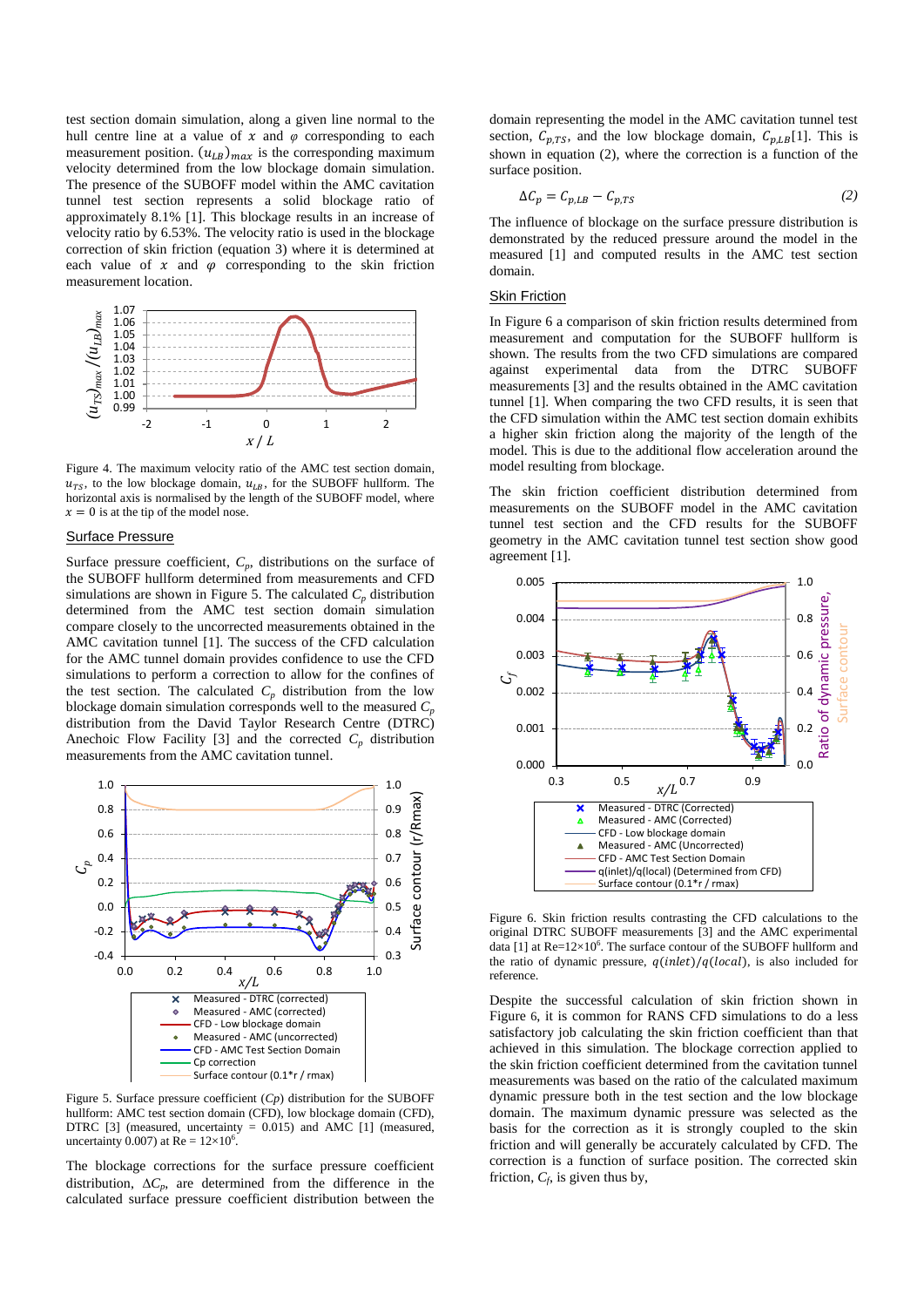test section domain simulation, along a given line normal to the hull centre line at a value of  $x$  and  $\varphi$  corresponding to each measurement position.  $(u_{LB})_{max}$  is the corresponding maximum velocity determined from the low blockage domain simulation. The presence of the SUBOFF model within the AMC cavitation tunnel test section represents a solid blockage ratio of approximately 8.1% [\[1\].](#page-3-3) This blockage results in an increase of velocity ratio by 6.53%. The velocity ratio is used in the blockage correction of skin friction (equation 3) where it is determined at each value of  $x$  and  $\varphi$  corresponding to the skin friction measurement location.



<span id="page-2-0"></span>Figure 4. The maximum velocity ratio of the AMC test section domain,  $u_{TS}$ , to the low blockage domain,  $u_{LB}$ , for the SUBOFF hullform. The horizontal axis is normalised by the length of the SUBOFF model, where  $x = 0$  is at the tip of the model nose.

### Surface Pressure

Surface pressure coefficient,  $C_p$ , distributions on the surface of the SUBOFF hullform determined from measurements and CFD simulations are shown in [Figure 5.](#page-2-1) The calculated  $C_p$  distribution determined from the AMC test section domain simulation compare closely to the uncorrected measurements obtained in the AMC cavitation tunnel [\[1\].](#page-3-3) The success of the CFD calculation for the AMC tunnel domain provides confidence to use the CFD simulations to perform a correction to allow for the confines of the test section. The calculated  $C_p$  distribution from the low blockage domain simulation corresponds well to the measured  $C_p$ distribution from the David Taylor Research Centre (DTRC) Anechoic Flow Facility [\[3\]](#page-3-0) and the corrected  $C_p$  distribution measurements from the AMC cavitation tunnel.



<span id="page-2-1"></span>Figure 5. Surface pressure coefficient (*Cp*) distribution for the SUBOFF hullform: AMC test section domain (CFD), low blockage domain (CFD), DTRC [\[3\]](#page-3-0) (measured, uncertainty = 0.015) and AMC [\[1\]](#page-3-3) (measured, uncertainty 0.007) at  $Re = 12 \times 10^6$ .

The blockage corrections for the surface pressure coefficient distribution,  $\Delta C_p$ , are determined from the difference in the calculated surface pressure coefficient distribution between the

domain representing the model in the AMC cavitation tunnel test section,  $C_{p,TS}$ , and the low blockage domain,  $C_{p,LB}[1]$ . This is shown in equation (2), where the correction is a function of the surface position.

$$
\Delta C_p = C_{p,LB} - C_{p,TS} \tag{2}
$$

The influence of blockage on the surface pressure distribution is demonstrated by the reduced pressure around the model in the measured [\[1\]](#page-3-3) and computed results in the AMC test section domain.

# Skin Friction

In [Figure 6](#page-2-2) a comparison of skin friction results determined from measurement and computation for the SUBOFF hullform is shown. The results from the two CFD simulations are compared against experimental data from the DTRC SUBOFF measurements [\[3\]](#page-3-0) and the results obtained in the AMC cavitation tunnel [\[1\].](#page-3-3) When comparing the two CFD results, it is seen that the CFD simulation within the AMC test section domain exhibits a higher skin friction along the majority of the length of the model. This is due to the additional flow acceleration around the model resulting from blockage.

The skin friction coefficient distribution determined from measurements on the SUBOFF model in the AMC cavitation tunnel test section and the CFD results for the SUBOFF geometry in the AMC cavitation tunnel test section show good agreement [\[1\].](#page-3-3) 



<span id="page-2-2"></span>Figure 6. Skin friction results contrasting the CFD calculations to the original DTRC SUBOFF measurements [\[3\]](#page-3-0) and the AMC experimental data [\[1\]](#page-3-3) at  $Re=12\times10^6$ . The surface contour of the SUBOFF hullform and the ratio of dynamic pressure,  $q(ihlet)/q(local)$ , is also included for reference.

Despite the successful calculation of skin friction shown in [Figure](#page-2-2) 6, it is common for RANS CFD simulations to do a less satisfactory job calculating the skin friction coefficient than that achieved in this simulation. The blockage correction applied to the skin friction coefficient determined from the cavitation tunnel measurements was based on the ratio of the calculated maximum dynamic pressure both in the test section and the low blockage domain. The maximum dynamic pressure was selected as the basis for the correction as it is strongly coupled to the skin friction and will generally be accurately calculated by CFD. The correction is a function of surface position. The corrected skin friction,  $C_f$ , is given thus by,